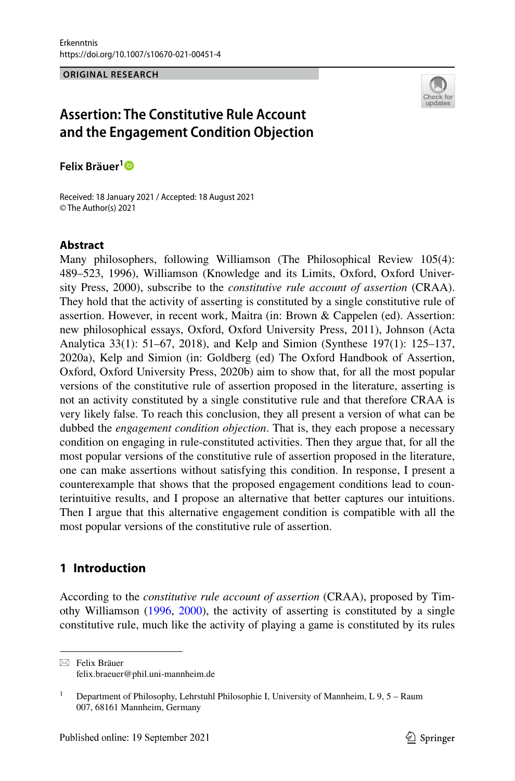#### **ORIGINAL RESEARCH**



# **Assertion: The Constitutive Rule Account and the Engagement Condition Objection**

**Felix Bräuer[1](http://orcid.org/0000-0002-4289-0086)**

Received: 18 January 2021 / Accepted: 18 August 2021 © The Author(s) 2021

#### **Abstract**

Many philosophers, following Williamson (The Philosophical Review 105(4): 489–523, 1996), Williamson (Knowledge and its Limits, Oxford, Oxford University Press, 2000), subscribe to the *constitutive rule account of assertion* (CRAA). They hold that the activity of asserting is constituted by a single constitutive rule of assertion. However, in recent work, Maitra (in: Brown & Cappelen (ed). Assertion: new philosophical essays, Oxford, Oxford University Press, 2011), Johnson (Acta Analytica 33(1): 51–67, 2018), and Kelp and Simion (Synthese 197(1): 125–137, 2020a), Kelp and Simion (in: Goldberg (ed) The Oxford Handbook of Assertion, Oxford, Oxford University Press, 2020b) aim to show that, for all the most popular versions of the constitutive rule of assertion proposed in the literature, asserting is not an activity constituted by a single constitutive rule and that therefore CRAA is very likely false. To reach this conclusion, they all present a version of what can be dubbed the *engagement condition objection*. That is, they each propose a necessary condition on engaging in rule-constituted activities. Then they argue that, for all the most popular versions of the constitutive rule of assertion proposed in the literature, one can make assertions without satisfying this condition. In response, I present a counterexample that shows that the proposed engagement conditions lead to counterintuitive results, and I propose an alternative that better captures our intuitions. Then I argue that this alternative engagement condition is compatible with all the most popular versions of the constitutive rule of assertion.

### **1 Introduction**

According to the *constitutive rule account of assertion* (CRAA), proposed by Timothy Williamson [\(1996](#page-17-0), [2000\)](#page-17-1), the activity of asserting is constituted by a single constitutive rule, much like the activity of playing a game is constituted by its rules

 $\boxtimes$  Felix Bräuer felix.braeuer@phil.uni-mannheim.de

<sup>&</sup>lt;sup>1</sup> Department of Philosophy, Lehrstuhl Philosophie I, University of Mannheim, L  $9, 5 -$ Raum 007, 68161 Mannheim, Germany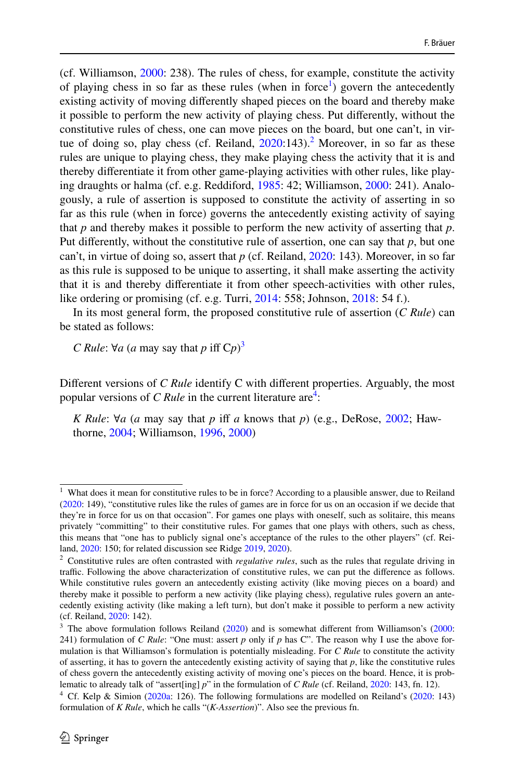(cf. Williamson, [2000:](#page-17-1) 238). The rules of chess, for example, constitute the activity of playing chess in so far as these rules (when in force<sup>[1](#page-1-0)</sup>) govern the antecedently existing activity of moving diferently shaped pieces on the board and thereby make it possible to perform the new activity of playing chess. Put diferently, without the constitutive rules of chess, one can move pieces on the board, but one can't, in virtue of doing so, play chess (cf. Reiland,  $2020:143$  $2020:143$ ).<sup>[2](#page-1-1)</sup> Moreover, in so far as these rules are unique to playing chess, they make playing chess the activity that it is and thereby diferentiate it from other game-playing activities with other rules, like playing draughts or halma (cf. e.g. Reddiford, [1985:](#page-16-0) 42; Williamson, [2000:](#page-17-1) 241). Analogously, a rule of assertion is supposed to constitute the activity of asserting in so far as this rule (when in force) governs the antecedently existing activity of saying that *p* and thereby makes it possible to perform the new activity of asserting that *p*. Put diferently, without the constitutive rule of assertion, one can say that *p*, but one can't, in virtue of doing so, assert that *p* (cf. Reiland, [2020:](#page-17-2) 143). Moreover, in so far as this rule is supposed to be unique to asserting, it shall make asserting the activity that it is and thereby diferentiate it from other speech-activities with other rules, like ordering or promising (cf. e.g. Turri, [2014](#page-17-3): 558; Johnson, [2018:](#page-16-1) 54 f.).

In its most general form, the proposed constitutive rule of assertion (*C Rule*) can be stated as follows:

*C Rule*: ∀*a* (*a* may say that *p* iff  $Cp$ )<sup>[3](#page-1-2)</sup>

Diferent versions of *C Rule* identify C with diferent properties. Arguably, the most popular versions of *C Rule* in the current literature are<sup>4</sup>:

*K Rule*: ∀*a* (*a* may say that *p* if *a* knows that *p*) (e.g., DeRose, [2002](#page-16-2); Hawthorne, [2004](#page-16-3); Williamson, [1996](#page-17-0), [2000](#page-17-1))

<span id="page-1-0"></span>What does it mean for constitutive rules to be in force? According to a plausible answer, due to Reiland ([2020:](#page-17-2) 149), "constitutive rules like the rules of games are in force for us on an occasion if we decide that they're in force for us on that occasion". For games one plays with oneself, such as solitaire, this means privately "committing" to their constitutive rules. For games that one plays with others, such as chess, this means that "one has to publicly signal one's acceptance of the rules to the other players" (cf. Reiland, [2020:](#page-17-2) 150; for related discussion see Ridge [2019,](#page-17-4) [2020\)](#page-17-5).

<span id="page-1-1"></span><sup>2</sup> Constitutive rules are often contrasted with *regulative rules*, such as the rules that regulate driving in traffic. Following the above characterization of constitutive rules, we can put the difference as follows. While constitutive rules govern an antecedently existing activity (like moving pieces on a board) and thereby make it possible to perform a new activity (like playing chess), regulative rules govern an antecedently existing activity (like making a left turn), but don't make it possible to perform a new activity (cf. Reiland, [2020:](#page-17-2) 142).

<span id="page-1-2"></span> $3$  The above formulation follows Reiland [\(2020](#page-17-2)) and is somewhat different from Williamson's [\(2000](#page-17-1): 241) formulation of *C Rule*: "One must: assert *p* only if *p* has C". The reason why I use the above formulation is that Williamson's formulation is potentially misleading. For *C Rule* to constitute the activity of asserting, it has to govern the antecedently existing activity of saying that *p*, like the constitutive rules of chess govern the antecedently existing activity of moving one's pieces on the board. Hence, it is problematic to already talk of "assert[ing] *p*" in the formulation of *C Rule* (cf. Reiland, [2020](#page-17-2): 143, fn. 12).

<span id="page-1-3"></span><sup>&</sup>lt;sup>4</sup> Cf. Kelp & Simion ([2020a:](#page-16-4) 126). The following formulations are modelled on Reiland's ([2020:](#page-17-2) 143) formulation of *K Rule*, which he calls "(*K-Assertion*)". Also see the previous fn.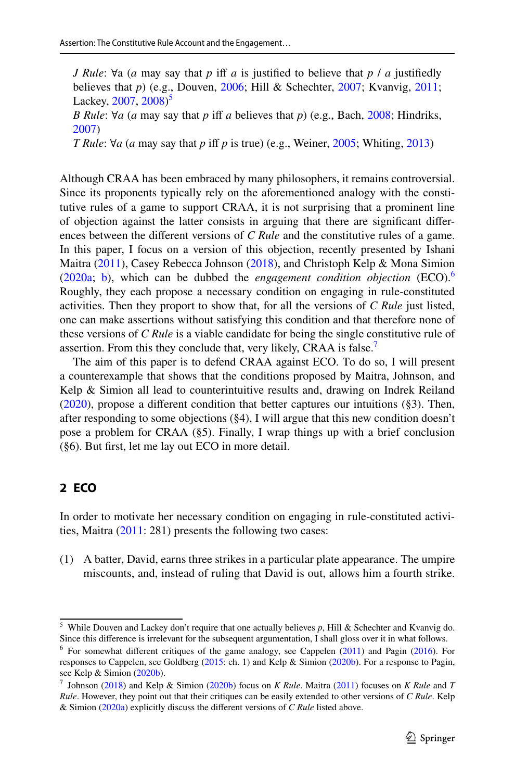*J Rule*: ∀a (*a* may say that *p* if *a* is justifed to believe that *p* / *a* justifedly believes that *p*) (e.g., Douven, [2006](#page-16-5); Hill & Schechter, [2007;](#page-16-6) Kvanvig, [2011](#page-16-7); Lackey, [2007,](#page-16-8) [2008\)](#page-16-9)<sup>[5](#page-2-0)</sup> *B Rule*: ∀*a* (*a* may say that *p* iff *a* believes that *p*) (e.g., Bach, [2008;](#page-16-10) Hindriks,

[2007](#page-16-11))

*T Rule*: ∀*a* (*a* may say that *p* if *p* is true) (e.g., Weiner, [2005](#page-17-6); Whiting, [2013](#page-17-7))

Although CRAA has been embraced by many philosophers, it remains controversial. Since its proponents typically rely on the aforementioned analogy with the constitutive rules of a game to support CRAA, it is not surprising that a prominent line of objection against the latter consists in arguing that there are signifcant diferences between the different versions of *C Rule* and the constitutive rules of a game. In this paper, I focus on a version of this objection, recently presented by Ishani Maitra ([2011\)](#page-16-12), Casey Rebecca Johnson ([2018\)](#page-16-1), and Christoph Kelp & Mona Simion [\(2020a;](#page-16-4) [b\)](#page-16-13), which can be dubbed the *engagement condition objection* (ECO).[6](#page-2-1) Roughly, they each propose a necessary condition on engaging in rule-constituted activities. Then they proport to show that, for all the versions of *C Rule* just listed, one can make assertions without satisfying this condition and that therefore none of these versions of *C Rule* is a viable candidate for being the single constitutive rule of assertion. From this they conclude that, very likely, CRAA is false.<sup>[7](#page-2-2)</sup>

The aim of this paper is to defend CRAA against ECO. To do so, I will present a counterexample that shows that the conditions proposed by Maitra, Johnson, and Kelp & Simion all lead to counterintuitive results and, drawing on Indrek Reiland [\(2020](#page-17-2)), propose a diferent condition that better captures our intuitions (§3). Then, after responding to some objections (§4), I will argue that this new condition doesn't pose a problem for CRAA (§5). Finally, I wrap things up with a brief conclusion (§6). But frst, let me lay out ECO in more detail.

## **2 ECO**

In order to motivate her necessary condition on engaging in rule-constituted activities, Maitra [\(2011](#page-16-12): 281) presents the following two cases:

(1) A batter, David, earns three strikes in a particular plate appearance. The umpire miscounts, and, instead of ruling that David is out, allows him a fourth strike.

<span id="page-2-0"></span><sup>5</sup> While Douven and Lackey don't require that one actually believes *p*, Hill & Schechter and Kvanvig do. Since this diference is irrelevant for the subsequent argumentation, I shall gloss over it in what follows.

<span id="page-2-1"></span> $6$  For somewhat different critiques of the game analogy, see Cappelen [\(2011](#page-16-14)) and Pagin [\(2016](#page-16-15)). For responses to Cappelen, see Goldberg ([2015:](#page-16-16) ch. 1) and Kelp & Simion ([2020b\)](#page-16-13). For a response to Pagin, see Kelp & Simion ([2020b\)](#page-16-13).

<span id="page-2-2"></span><sup>7</sup> Johnson [\(2018](#page-16-1)) and Kelp & Simion ([2020b\)](#page-16-13) focus on *K Rule*. Maitra [\(2011](#page-16-12)) focuses on *K Rule* and *T Rule*. However, they point out that their critiques can be easily extended to other versions of *C Rule*. Kelp & Simion [\(2020a\)](#page-16-4) explicitly discuss the diferent versions of *C Rule* listed above.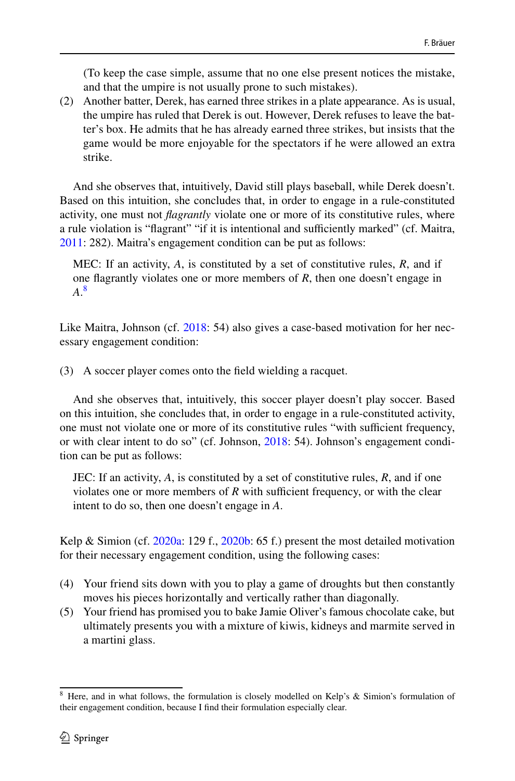(To keep the case simple, assume that no one else present notices the mistake, and that the umpire is not usually prone to such mistakes).

(2) Another batter, Derek, has earned three strikes in a plate appearance. As is usual, the umpire has ruled that Derek is out. However, Derek refuses to leave the batter's box. He admits that he has already earned three strikes, but insists that the game would be more enjoyable for the spectators if he were allowed an extra strike.

And she observes that, intuitively, David still plays baseball, while Derek doesn't. Based on this intuition, she concludes that, in order to engage in a rule-constituted activity, one must not *fagrantly* violate one or more of its constitutive rules, where a rule violation is "flagrant" "if it is intentional and sufficiently marked" (cf. Maitra, [2011](#page-16-12): 282). Maitra's engagement condition can be put as follows:

MEC: If an activity, *A*, is constituted by a set of constitutive rules, *R*, and if one fagrantly violates one or more members of *R*, then one doesn't engage in *A*. [8](#page-3-0)

Like Maitra, Johnson (cf. [2018](#page-16-1): 54) also gives a case-based motivation for her necessary engagement condition:

(3) A soccer player comes onto the feld wielding a racquet.

And she observes that, intuitively, this soccer player doesn't play soccer. Based on this intuition, she concludes that, in order to engage in a rule-constituted activity, one must not violate one or more of its constitutive rules "with sufficient frequency, or with clear intent to do so" (cf. Johnson, [2018:](#page-16-1) 54). Johnson's engagement condition can be put as follows:

JEC: If an activity, *A*, is constituted by a set of constitutive rules, *R*, and if one violates one or more members of  $R$  with sufficient frequency, or with the clear intent to do so, then one doesn't engage in *A*.

Kelp & Simion (cf. [2020a](#page-16-4): 129 f., [2020b:](#page-16-13) 65 f.) present the most detailed motivation for their necessary engagement condition, using the following cases:

- (4) Your friend sits down with you to play a game of droughts but then constantly moves his pieces horizontally and vertically rather than diagonally.
- (5) Your friend has promised you to bake Jamie Oliver's famous chocolate cake, but ultimately presents you with a mixture of kiwis, kidneys and marmite served in a martini glass.

<span id="page-3-0"></span><sup>&</sup>lt;sup>8</sup> Here, and in what follows, the formulation is closely modelled on Kelp's & Simion's formulation of their engagement condition, because I fnd their formulation especially clear.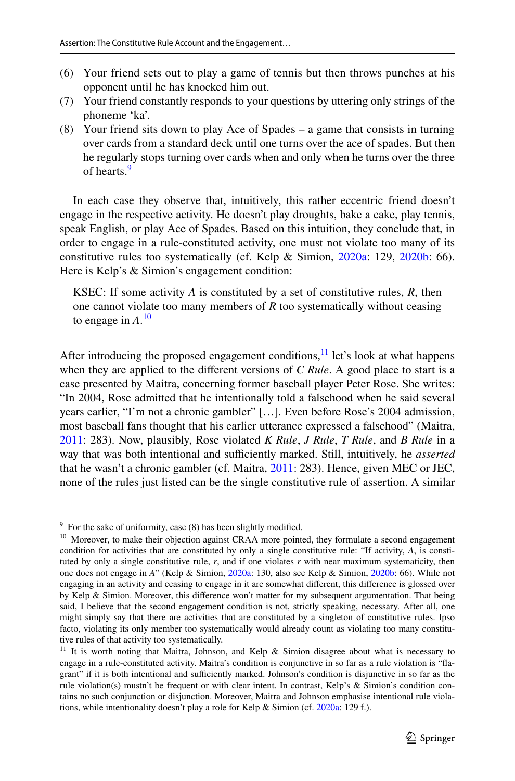- (6) Your friend sets out to play a game of tennis but then throws punches at his opponent until he has knocked him out.
- (7) Your friend constantly responds to your questions by uttering only strings of the phoneme 'ka'.
- (8) Your friend sits down to play Ace of Spades a game that consists in turning over cards from a standard deck until one turns over the ace of spades. But then he regularly stops turning over cards when and only when he turns over the three of hearts.<sup>[9](#page-4-0)</sup>

In each case they observe that, intuitively, this rather eccentric friend doesn't engage in the respective activity. He doesn't play droughts, bake a cake, play tennis, speak English, or play Ace of Spades. Based on this intuition, they conclude that, in order to engage in a rule-constituted activity, one must not violate too many of its constitutive rules too systematically (cf. Kelp & Simion, [2020a](#page-16-4): 129, [2020b](#page-16-13): 66). Here is Kelp's & Simion's engagement condition:

KSEC: If some activity *A* is constituted by a set of constitutive rules, *R*, then one cannot violate too many members of *R* too systematically without ceasing to engage in *A*. [10](#page-4-1)

After introducing the proposed engagement conditions,  $\frac{11}{1}$  let's look at what happens when they are applied to the different versions of *C Rule*. A good place to start is a case presented by Maitra, concerning former baseball player Peter Rose. She writes: "In 2004, Rose admitted that he intentionally told a falsehood when he said several years earlier, "I'm not a chronic gambler" […]. Even before Rose's 2004 admission, most baseball fans thought that his earlier utterance expressed a falsehood" (Maitra, [2011](#page-16-12): 283). Now, plausibly, Rose violated *K Rule*, *J Rule*, *T Rule*, and *B Rule* in a way that was both intentional and sufficiently marked. Still, intuitively, he *asserted* that he wasn't a chronic gambler (cf. Maitra, [2011:](#page-16-12) 283). Hence, given MEC or JEC, none of the rules just listed can be the single constitutive rule of assertion. A similar

<span id="page-4-0"></span> $9$  For the sake of uniformity, case (8) has been slightly modified.

<span id="page-4-1"></span><sup>&</sup>lt;sup>10</sup> Moreover, to make their objection against CRAA more pointed, they formulate a second engagement condition for activities that are constituted by only a single constitutive rule: "If activity, *A*, is constituted by only a single constitutive rule, *r*, and if one violates *r* with near maximum systematicity, then one does not engage in *A*" (Kelp & Simion, [2020a](#page-16-4): 130, also see Kelp & Simion, [2020b:](#page-16-13) 66). While not engaging in an activity and ceasing to engage in it are somewhat diferent, this diference is glossed over by Kelp & Simion. Moreover, this diference won't matter for my subsequent argumentation. That being said, I believe that the second engagement condition is not, strictly speaking, necessary. After all, one might simply say that there are activities that are constituted by a singleton of constitutive rules. Ipso facto, violating its only member too systematically would already count as violating too many constitutive rules of that activity too systematically.

<span id="page-4-2"></span><sup>&</sup>lt;sup>11</sup> It is worth noting that Maitra, Johnson, and Kelp & Simion disagree about what is necessary to engage in a rule-constituted activity. Maitra's condition is conjunctive in so far as a rule violation is "fagrant" if it is both intentional and sufficiently marked. Johnson's condition is disjunctive in so far as the rule violation(s) mustn't be frequent or with clear intent. In contrast, Kelp's & Simion's condition contains no such conjunction or disjunction. Moreover, Maitra and Johnson emphasise intentional rule violations, while intentionality doesn't play a role for Kelp & Simion (cf. [2020a:](#page-16-4) 129 f.).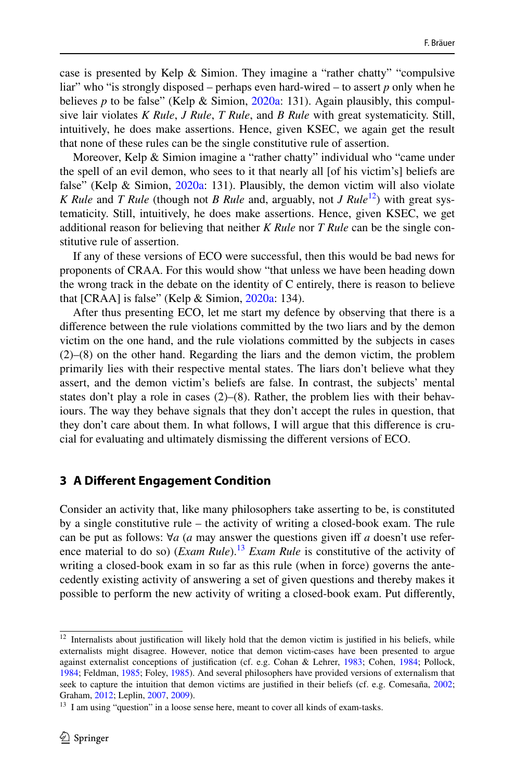case is presented by Kelp & Simion. They imagine a "rather chatty" "compulsive liar" who "is strongly disposed – perhaps even hard-wired – to assert *p* only when he believes *p* to be false" (Kelp & Simion, [2020a](#page-16-4): 131). Again plausibly, this compulsive lair violates *K Rule*, *J Rule*, *T Rule*, and *B Rule* with great systematicity. Still, intuitively, he does make assertions. Hence, given KSEC, we again get the result that none of these rules can be the single constitutive rule of assertion.

Moreover, Kelp & Simion imagine a "rather chatty" individual who "came under the spell of an evil demon, who sees to it that nearly all [of his victim's] beliefs are false" (Kelp & Simion, [2020a](#page-16-4): 131). Plausibly, the demon victim will also violate *K Rule* and *T Rule* (though not *B Rule* and, arguably, not *J Rule*<sup>[12](#page-5-0)</sup>) with great systematicity. Still, intuitively, he does make assertions. Hence, given KSEC, we get additional reason for believing that neither *K Rule* nor *T Rule* can be the single constitutive rule of assertion.

If any of these versions of ECO were successful, then this would be bad news for proponents of CRAA. For this would show "that unless we have been heading down the wrong track in the debate on the identity of C entirely, there is reason to believe that  $[{\rm CRAA}]$  is false" (Kelp & Simion,  $2020a$ : 134).

After thus presenting ECO, let me start my defence by observing that there is a diference between the rule violations committed by the two liars and by the demon victim on the one hand, and the rule violations committed by the subjects in cases (2)–(8) on the other hand. Regarding the liars and the demon victim, the problem primarily lies with their respective mental states. The liars don't believe what they assert, and the demon victim's beliefs are false. In contrast, the subjects' mental states don't play a role in cases  $(2)$ – $(8)$ . Rather, the problem lies with their behaviours. The way they behave signals that they don't accept the rules in question, that they don't care about them. In what follows, I will argue that this diference is crucial for evaluating and ultimately dismissing the diferent versions of ECO.

#### **3 A Diferent Engagement Condition**

Consider an activity that, like many philosophers take asserting to be, is constituted by a single constitutive rule – the activity of writing a closed-book exam. The rule can be put as follows: ∀*a* (*a* may answer the questions given if *a* doesn't use reference material to do so) (*Exam Rule*).<sup>13</sup> *Exam Rule* is constitutive of the activity of writing a closed-book exam in so far as this rule (when in force) governs the antecedently existing activity of answering a set of given questions and thereby makes it possible to perform the new activity of writing a closed-book exam. Put diferently,

<span id="page-5-0"></span><sup>&</sup>lt;sup>12</sup> Internalists about justification will likely hold that the demon victim is justified in his beliefs, while externalists might disagree. However, notice that demon victim-cases have been presented to argue against externalist conceptions of justifcation (cf. e.g. Cohan & Lehrer, [1983](#page-16-17); Cohen, [1984;](#page-16-18) Pollock, [1984](#page-16-19); Feldman, [1985;](#page-16-20) Foley, [1985\)](#page-16-21). And several philosophers have provided versions of externalism that seek to capture the intuition that demon victims are justified in their beliefs (cf. e.g. Comesaña, [2002](#page-16-22); Graham, [2012;](#page-16-23) Leplin, [2007,](#page-16-24) [2009\)](#page-16-25).

<span id="page-5-1"></span> $13$  I am using "question" in a loose sense here, meant to cover all kinds of exam-tasks.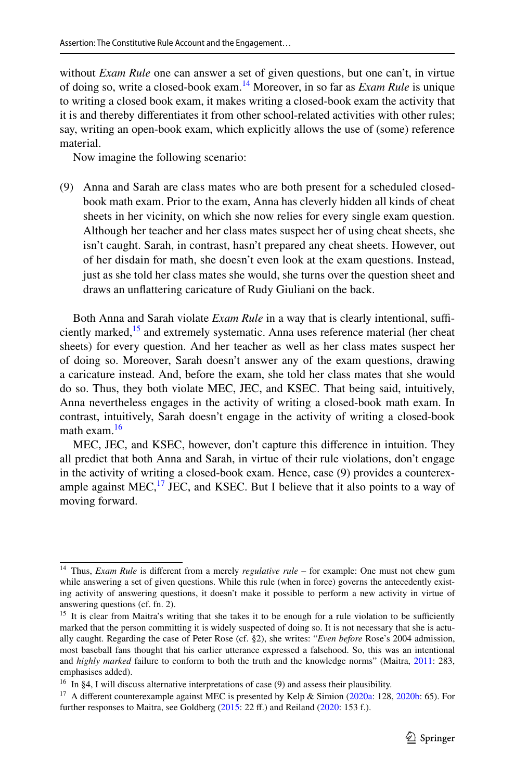without *Exam Rule* one can answer a set of given questions, but one can't, in virtue of doing so, write a closed-book exam.[14](#page-6-0) Moreover, in so far as *Exam Rule* is unique to writing a closed book exam, it makes writing a closed-book exam the activity that it is and thereby diferentiates it from other school-related activities with other rules; say, writing an open-book exam, which explicitly allows the use of (some) reference material.

Now imagine the following scenario:

(9) Anna and Sarah are class mates who are both present for a scheduled closedbook math exam. Prior to the exam, Anna has cleverly hidden all kinds of cheat sheets in her vicinity, on which she now relies for every single exam question. Although her teacher and her class mates suspect her of using cheat sheets, she isn't caught. Sarah, in contrast, hasn't prepared any cheat sheets. However, out of her disdain for math, she doesn't even look at the exam questions. Instead, just as she told her class mates she would, she turns over the question sheet and draws an unfattering caricature of Rudy Giuliani on the back.

Both Anna and Sarah violate *Exam Rule* in a way that is clearly intentional, suffi-ciently marked,<sup>[15](#page-6-1)</sup> and extremely systematic. Anna uses reference material (her cheat sheets) for every question. And her teacher as well as her class mates suspect her of doing so. Moreover, Sarah doesn't answer any of the exam questions, drawing a caricature instead. And, before the exam, she told her class mates that she would do so. Thus, they both violate MEC, JEC, and KSEC. That being said, intuitively, Anna nevertheless engages in the activity of writing a closed-book math exam. In contrast, intuitively, Sarah doesn't engage in the activity of writing a closed-book math exam.<sup>16</sup>

MEC, JEC, and KSEC, however, don't capture this diference in intuition. They all predict that both Anna and Sarah, in virtue of their rule violations, don't engage in the activity of writing a closed-book exam. Hence, case (9) provides a counterexample against MEC,<sup>17</sup> JEC, and KSEC. But I believe that it also points to a way of moving forward.

<span id="page-6-0"></span><sup>14</sup> Thus, *Exam Rule* is diferent from a merely *regulative rule* – for example: One must not chew gum while answering a set of given questions. While this rule (when in force) governs the antecedently existing activity of answering questions, it doesn't make it possible to perform a new activity in virtue of answering questions (cf. fn. 2).

<span id="page-6-1"></span> $15$  It is clear from Maitra's writing that she takes it to be enough for a rule violation to be sufficiently marked that the person committing it is widely suspected of doing so. It is not necessary that she is actually caught. Regarding the case of Peter Rose (cf. §2), she writes: "*Even before* Rose's 2004 admission, most baseball fans thought that his earlier utterance expressed a falsehood. So, this was an intentional and *highly marked* failure to conform to both the truth and the knowledge norms" (Maitra, [2011](#page-16-12): 283, emphasises added).

<span id="page-6-2"></span><sup>&</sup>lt;sup>16</sup> In §4, I will discuss alternative interpretations of case  $(9)$  and assess their plausibility.

<span id="page-6-3"></span><sup>&</sup>lt;sup>17</sup> A different counterexample against MEC is presented by Kelp & Simion [\(2020a:](#page-16-4) 128, [2020b](#page-16-13): 65). For further responses to Maitra, see Goldberg  $(2015: 22 \text{ ff.})$  $(2015: 22 \text{ ff.})$  $(2015: 22 \text{ ff.})$  and Reiland  $(2020: 153 \text{ f.})$  $(2020: 153 \text{ f.})$ .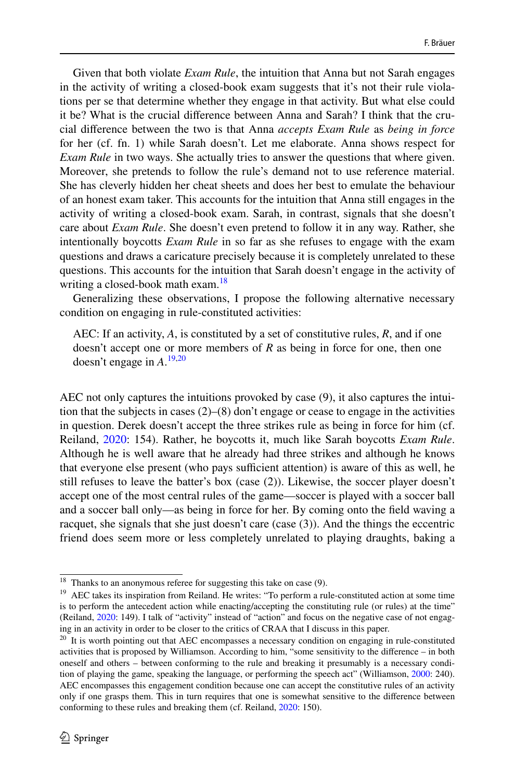Given that both violate *Exam Rule*, the intuition that Anna but not Sarah engages in the activity of writing a closed-book exam suggests that it's not their rule violations per se that determine whether they engage in that activity. But what else could it be? What is the crucial diference between Anna and Sarah? I think that the crucial diference between the two is that Anna *accepts Exam Rule* as *being in force* for her (cf. fn. 1) while Sarah doesn't. Let me elaborate. Anna shows respect for *Exam Rule* in two ways. She actually tries to answer the questions that where given. Moreover, she pretends to follow the rule's demand not to use reference material. She has cleverly hidden her cheat sheets and does her best to emulate the behaviour of an honest exam taker. This accounts for the intuition that Anna still engages in the activity of writing a closed-book exam. Sarah, in contrast, signals that she doesn't care about *Exam Rule*. She doesn't even pretend to follow it in any way. Rather, she intentionally boycotts *Exam Rule* in so far as she refuses to engage with the exam questions and draws a caricature precisely because it is completely unrelated to these questions. This accounts for the intuition that Sarah doesn't engage in the activity of writing a closed-book math exam.<sup>[18](#page-7-0)</sup>

Generalizing these observations, I propose the following alternative necessary condition on engaging in rule-constituted activities:

AEC: If an activity, *A*, is constituted by a set of constitutive rules, *R*, and if one doesn't accept one or more members of *R* as being in force for one, then one doesn't engage in *A*. [19,](#page-7-1)[20](#page-7-2)

AEC not only captures the intuitions provoked by case (9), it also captures the intuition that the subjects in cases  $(2)$ – $(8)$  don't engage or cease to engage in the activities in question. Derek doesn't accept the three strikes rule as being in force for him (cf. Reiland, [2020](#page-17-2): 154). Rather, he boycotts it, much like Sarah boycotts *Exam Rule*. Although he is well aware that he already had three strikes and although he knows that everyone else present (who pays sufficient attention) is aware of this as well, he still refuses to leave the batter's box (case (2)). Likewise, the soccer player doesn't accept one of the most central rules of the game—soccer is played with a soccer ball and a soccer ball only—as being in force for her. By coming onto the feld waving a racquet, she signals that she just doesn't care (case (3)). And the things the eccentric friend does seem more or less completely unrelated to playing draughts, baking a

<span id="page-7-0"></span><sup>&</sup>lt;sup>18</sup> Thanks to an anonymous referee for suggesting this take on case (9).

<span id="page-7-1"></span><sup>&</sup>lt;sup>19</sup> AEC takes its inspiration from Reiland. He writes: "To perform a rule-constituted action at some time is to perform the antecedent action while enacting/accepting the constituting rule (or rules) at the time" (Reiland, [2020:](#page-17-2) 149). I talk of "activity" instead of "action" and focus on the negative case of not engaging in an activity in order to be closer to the critics of CRAA that I discuss in this paper.

<span id="page-7-2"></span> $20$  It is worth pointing out that AEC encompasses a necessary condition on engaging in rule-constituted activities that is proposed by Williamson. According to him, "some sensitivity to the diference – in both oneself and others – between conforming to the rule and breaking it presumably is a necessary condition of playing the game, speaking the language, or performing the speech act" (Williamson, [2000](#page-17-1): 240). AEC encompasses this engagement condition because one can accept the constitutive rules of an activity only if one grasps them. This in turn requires that one is somewhat sensitive to the diference between conforming to these rules and breaking them (cf. Reiland, [2020:](#page-17-2) 150).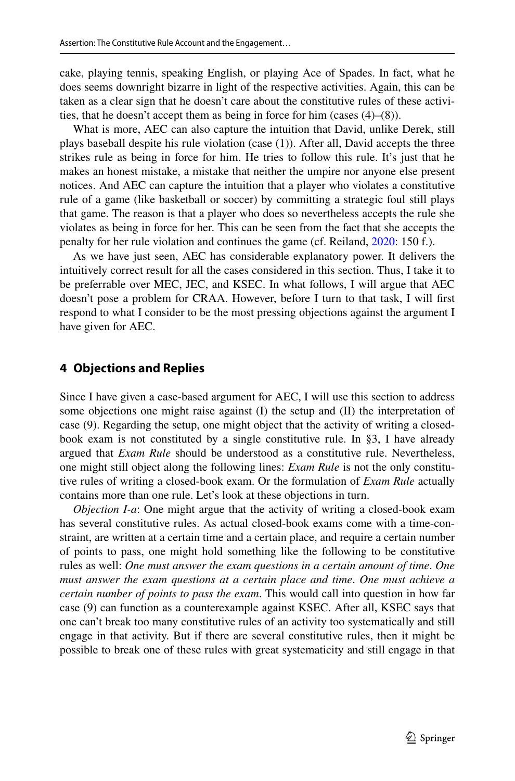cake, playing tennis, speaking English, or playing Ace of Spades. In fact, what he does seems downright bizarre in light of the respective activities. Again, this can be taken as a clear sign that he doesn't care about the constitutive rules of these activities, that he doesn't accept them as being in force for him (cases (4)–(8)).

What is more, AEC can also capture the intuition that David, unlike Derek, still plays baseball despite his rule violation (case (1)). After all, David accepts the three strikes rule as being in force for him. He tries to follow this rule. It's just that he makes an honest mistake, a mistake that neither the umpire nor anyone else present notices. And AEC can capture the intuition that a player who violates a constitutive rule of a game (like basketball or soccer) by committing a strategic foul still plays that game. The reason is that a player who does so nevertheless accepts the rule she violates as being in force for her. This can be seen from the fact that she accepts the penalty for her rule violation and continues the game (cf. Reiland, [2020](#page-17-2): 150 f.).

As we have just seen, AEC has considerable explanatory power. It delivers the intuitively correct result for all the cases considered in this section. Thus, I take it to be preferrable over MEC, JEC, and KSEC. In what follows, I will argue that AEC doesn't pose a problem for CRAA. However, before I turn to that task, I will frst respond to what I consider to be the most pressing objections against the argument I have given for AEC.

### **4 Objections and Replies**

Since I have given a case-based argument for AEC, I will use this section to address some objections one might raise against (I) the setup and (II) the interpretation of case (9). Regarding the setup, one might object that the activity of writing a closedbook exam is not constituted by a single constitutive rule. In §3, I have already argued that *Exam Rule* should be understood as a constitutive rule. Nevertheless, one might still object along the following lines: *Exam Rule* is not the only constitutive rules of writing a closed-book exam. Or the formulation of *Exam Rule* actually contains more than one rule. Let's look at these objections in turn.

*Objection I-a*: One might argue that the activity of writing a closed-book exam has several constitutive rules. As actual closed-book exams come with a time-constraint, are written at a certain time and a certain place, and require a certain number of points to pass, one might hold something like the following to be constitutive rules as well: *One must answer the exam questions in a certain amount of time*. *One must answer the exam questions at a certain place and time*. *One must achieve a certain number of points to pass the exam*. This would call into question in how far case (9) can function as a counterexample against KSEC. After all, KSEC says that one can't break too many constitutive rules of an activity too systematically and still engage in that activity. But if there are several constitutive rules, then it might be possible to break one of these rules with great systematicity and still engage in that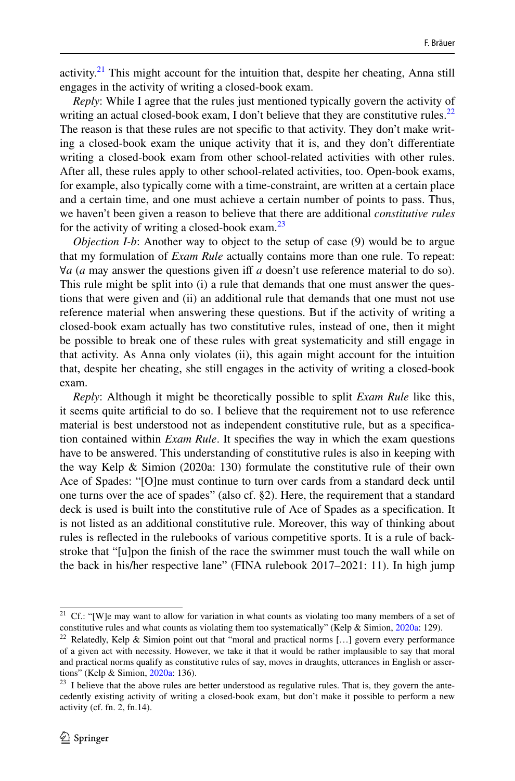activity.<sup>21</sup> This might account for the intuition that, despite her cheating, Anna still engages in the activity of writing a closed-book exam.

*Reply*: While I agree that the rules just mentioned typically govern the activity of writing an actual closed-book exam, I don't believe that they are constitutive rules.<sup>[22](#page-9-1)</sup> The reason is that these rules are not specifc to that activity. They don't make writing a closed-book exam the unique activity that it is, and they don't diferentiate writing a closed-book exam from other school-related activities with other rules. After all, these rules apply to other school-related activities, too. Open-book exams, for example, also typically come with a time-constraint, are written at a certain place and a certain time, and one must achieve a certain number of points to pass. Thus, we haven't been given a reason to believe that there are additional *constitutive rules* for the activity of writing a closed-book exam. $^{23}$  $^{23}$  $^{23}$ 

*Objection I-b*: Another way to object to the setup of case (9) would be to argue that my formulation of *Exam Rule* actually contains more than one rule. To repeat: ∀*a* (*a* may answer the questions given if *a* doesn't use reference material to do so). This rule might be split into (i) a rule that demands that one must answer the questions that were given and (ii) an additional rule that demands that one must not use reference material when answering these questions. But if the activity of writing a closed-book exam actually has two constitutive rules, instead of one, then it might be possible to break one of these rules with great systematicity and still engage in that activity. As Anna only violates (ii), this again might account for the intuition that, despite her cheating, she still engages in the activity of writing a closed-book exam.

*Reply*: Although it might be theoretically possible to split *Exam Rule* like this, it seems quite artifcial to do so. I believe that the requirement not to use reference material is best understood not as independent constitutive rule, but as a specifcation contained within *Exam Rule*. It specifes the way in which the exam questions have to be answered. This understanding of constitutive rules is also in keeping with the way Kelp & Simion (2020a: 130) formulate the constitutive rule of their own Ace of Spades: "[O]ne must continue to turn over cards from a standard deck until one turns over the ace of spades" (also cf. §2). Here, the requirement that a standard deck is used is built into the constitutive rule of Ace of Spades as a specifcation. It is not listed as an additional constitutive rule. Moreover, this way of thinking about rules is refected in the rulebooks of various competitive sports. It is a rule of backstroke that "[u]pon the fnish of the race the swimmer must touch the wall while on the back in his/her respective lane" (FINA rulebook 2017–2021: 11). In high jump

<span id="page-9-0"></span><sup>&</sup>lt;sup>21</sup> Cf.: "[W]e may want to allow for variation in what counts as violating too many members of a set of constitutive rules and what counts as violating them too systematically" (Kelp & Simion, [2020a](#page-16-4): 129).

<span id="page-9-1"></span><sup>&</sup>lt;sup>22</sup> Relatedly, Kelp & Simion point out that "moral and practical norms [...] govern every performance of a given act with necessity. However, we take it that it would be rather implausible to say that moral and practical norms qualify as constitutive rules of say, moves in draughts, utterances in English or assertions" (Kelp & Simion, [2020a](#page-16-4): 136).

<span id="page-9-2"></span><sup>&</sup>lt;sup>23</sup> I believe that the above rules are better understood as regulative rules. That is, they govern the antecedently existing activity of writing a closed-book exam, but don't make it possible to perform a new activity (cf. fn. 2, fn.14).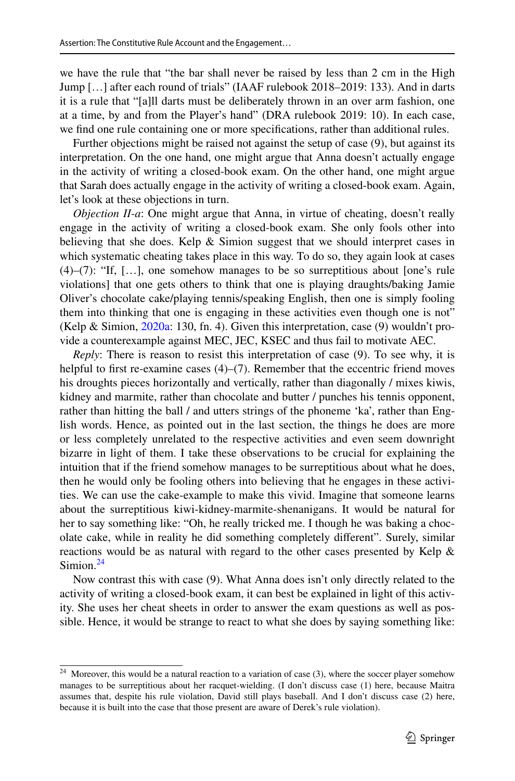we have the rule that "the bar shall never be raised by less than 2 cm in the High Jump […] after each round of trials" (IAAF rulebook 2018–2019: 133). And in darts it is a rule that "[a]ll darts must be deliberately thrown in an over arm fashion, one at a time, by and from the Player's hand" (DRA rulebook 2019: 10). In each case, we fnd one rule containing one or more specifcations, rather than additional rules.

Further objections might be raised not against the setup of case (9), but against its interpretation. On the one hand, one might argue that Anna doesn't actually engage in the activity of writing a closed-book exam. On the other hand, one might argue that Sarah does actually engage in the activity of writing a closed-book exam. Again, let's look at these objections in turn.

*Objection II-a*: One might argue that Anna, in virtue of cheating, doesn't really engage in the activity of writing a closed-book exam. She only fools other into believing that she does. Kelp & Simion suggest that we should interpret cases in which systematic cheating takes place in this way. To do so, they again look at cases (4)–(7): "If, […], one somehow manages to be so surreptitious about [one's rule violations] that one gets others to think that one is playing draughts/baking Jamie Oliver's chocolate cake/playing tennis/speaking English, then one is simply fooling them into thinking that one is engaging in these activities even though one is not" (Kelp & Simion, [2020a:](#page-16-4) 130, fn. 4). Given this interpretation, case (9) wouldn't provide a counterexample against MEC, JEC, KSEC and thus fail to motivate AEC.

*Reply*: There is reason to resist this interpretation of case (9). To see why, it is helpful to first re-examine cases  $(4)$ – $(7)$ . Remember that the eccentric friend moves his droughts pieces horizontally and vertically, rather than diagonally / mixes kiwis, kidney and marmite, rather than chocolate and butter / punches his tennis opponent, rather than hitting the ball / and utters strings of the phoneme 'ka', rather than English words. Hence, as pointed out in the last section, the things he does are more or less completely unrelated to the respective activities and even seem downright bizarre in light of them. I take these observations to be crucial for explaining the intuition that if the friend somehow manages to be surreptitious about what he does, then he would only be fooling others into believing that he engages in these activities. We can use the cake-example to make this vivid. Imagine that someone learns about the surreptitious kiwi-kidney-marmite-shenanigans. It would be natural for her to say something like: "Oh, he really tricked me. I though he was baking a chocolate cake, while in reality he did something completely diferent". Surely, similar reactions would be as natural with regard to the other cases presented by Kelp & Simion.<sup>24</sup>

Now contrast this with case (9). What Anna does isn't only directly related to the activity of writing a closed-book exam, it can best be explained in light of this activity. She uses her cheat sheets in order to answer the exam questions as well as possible. Hence, it would be strange to react to what she does by saying something like:

<span id="page-10-0"></span> $24$  Moreover, this would be a natural reaction to a variation of case (3), where the soccer player somehow manages to be surreptitious about her racquet-wielding. (I don't discuss case (1) here, because Maitra assumes that, despite his rule violation, David still plays baseball. And I don't discuss case (2) here, because it is built into the case that those present are aware of Derek's rule violation).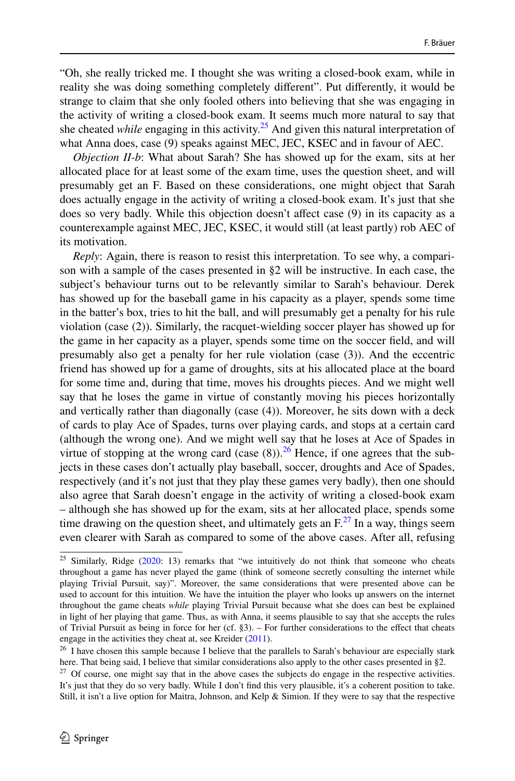"Oh, she really tricked me. I thought she was writing a closed-book exam, while in reality she was doing something completely diferent". Put diferently, it would be strange to claim that she only fooled others into believing that she was engaging in the activity of writing a closed-book exam. It seems much more natural to say that she cheated *while* engaging in this activity.<sup>[25](#page-11-0)</sup> And given this natural interpretation of what Anna does, case (9) speaks against MEC, JEC, KSEC and in favour of AEC.

*Objection II-b*: What about Sarah? She has showed up for the exam, sits at her allocated place for at least some of the exam time, uses the question sheet, and will presumably get an F. Based on these considerations, one might object that Sarah does actually engage in the activity of writing a closed-book exam. It's just that she does so very badly. While this objection doesn't afect case (9) in its capacity as a counterexample against MEC, JEC, KSEC, it would still (at least partly) rob AEC of its motivation.

*Reply*: Again, there is reason to resist this interpretation. To see why, a comparison with a sample of the cases presented in §2 will be instructive. In each case, the subject's behaviour turns out to be relevantly similar to Sarah's behaviour. Derek has showed up for the baseball game in his capacity as a player, spends some time in the batter's box, tries to hit the ball, and will presumably get a penalty for his rule violation (case (2)). Similarly, the racquet-wielding soccer player has showed up for the game in her capacity as a player, spends some time on the soccer feld, and will presumably also get a penalty for her rule violation (case (3)). And the eccentric friend has showed up for a game of droughts, sits at his allocated place at the board for some time and, during that time, moves his droughts pieces. And we might well say that he loses the game in virtue of constantly moving his pieces horizontally and vertically rather than diagonally (case (4)). Moreover, he sits down with a deck of cards to play Ace of Spades, turns over playing cards, and stops at a certain card (although the wrong one). And we might well say that he loses at Ace of Spades in virtue of stopping at the wrong card (case  $(8)$ ).<sup>26</sup> Hence, if one agrees that the subjects in these cases don't actually play baseball, soccer, droughts and Ace of Spades, respectively (and it's not just that they play these games very badly), then one should also agree that Sarah doesn't engage in the activity of writing a closed-book exam – although she has showed up for the exam, sits at her allocated place, spends some time drawing on the question sheet, and ultimately gets an  $F^{27}$ . In a way, things seem even clearer with Sarah as compared to some of the above cases. After all, refusing

<span id="page-11-0"></span> $25$  Similarly, Ridge ( $2020$ : 13) remarks that "we intuitively do not think that someone who cheats throughout a game has never played the game (think of someone secretly consulting the internet while playing Trivial Pursuit, say)". Moreover, the same considerations that were presented above can be used to account for this intuition. We have the intuition the player who looks up answers on the internet throughout the game cheats *while* playing Trivial Pursuit because what she does can best be explained in light of her playing that game. Thus, as with Anna, it seems plausible to say that she accepts the rules of Trivial Pursuit as being in force for her (cf. §3). – For further considerations to the efect that cheats engage in the activities they cheat at, see Kreider ([2011\)](#page-16-26).

<span id="page-11-1"></span><sup>&</sup>lt;sup>26</sup> I have chosen this sample because I believe that the parallels to Sarah's behaviour are especially stark here. That being said, I believe that similar considerations also apply to the other cases presented in §2.

<span id="page-11-2"></span><sup>&</sup>lt;sup>27</sup> Of course, one might say that in the above cases the subjects do engage in the respective activities. It's just that they do so very badly. While I don't fnd this very plausible, it's a coherent position to take. Still, it isn't a live option for Maitra, Johnson, and Kelp & Simion. If they were to say that the respective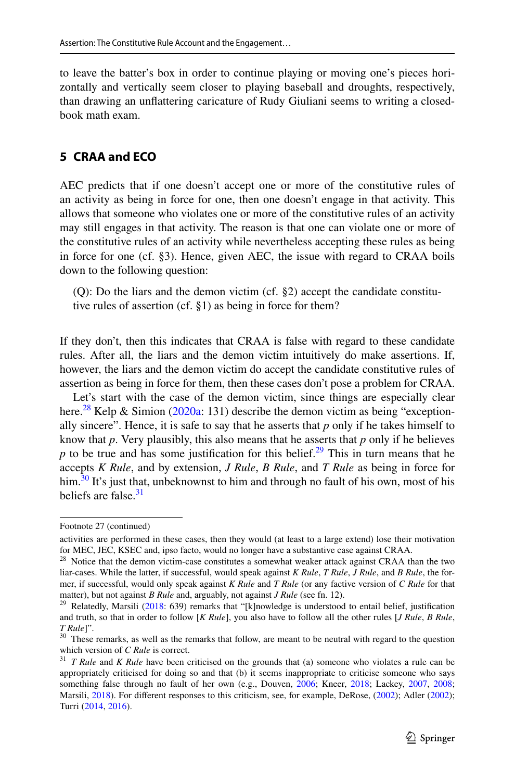to leave the batter's box in order to continue playing or moving one's pieces horizontally and vertically seem closer to playing baseball and droughts, respectively, than drawing an unfattering caricature of Rudy Giuliani seems to writing a closedbook math exam.

## **5 CRAA and ECO**

AEC predicts that if one doesn't accept one or more of the constitutive rules of an activity as being in force for one, then one doesn't engage in that activity. This allows that someone who violates one or more of the constitutive rules of an activity may still engages in that activity. The reason is that one can violate one or more of the constitutive rules of an activity while nevertheless accepting these rules as being in force for one (cf. §3). Hence, given AEC, the issue with regard to CRAA boils down to the following question:

(Q): Do the liars and the demon victim (cf. §2) accept the candidate constitutive rules of assertion (cf. §1) as being in force for them?

If they don't, then this indicates that CRAA is false with regard to these candidate rules. After all, the liars and the demon victim intuitively do make assertions. If, however, the liars and the demon victim do accept the candidate constitutive rules of assertion as being in force for them, then these cases don't pose a problem for CRAA.

Let's start with the case of the demon victim, since things are especially clear here.<sup>28</sup> Kelp & Simion [\(2020a:](#page-16-4) 131) describe the demon victim as being "exceptionally sincere". Hence, it is safe to say that he asserts that  $p$  only if he takes himself to know that  $p$ . Very plausibly, this also means that he asserts that  $p$  only if he believes  $p$  to be true and has some justification for this belief.<sup>[29](#page-12-1)</sup> This in turn means that he accepts *K Rule*, and by extension, *J Rule*, *B Rule*, and *T Rule* as being in force for him.<sup>30</sup> It's just that, unbeknownst to him and through no fault of his own, most of his beliefs are false.<sup>[31](#page-12-3)</sup>

Footnote 27 (continued)

activities are performed in these cases, then they would (at least to a large extend) lose their motivation for MEC, JEC, KSEC and, ipso facto, would no longer have a substantive case against CRAA.

<span id="page-12-0"></span><sup>&</sup>lt;sup>28</sup> Notice that the demon victim-case constitutes a somewhat weaker attack against CRAA than the two liar-cases. While the latter, if successful, would speak against *K Rule*, *T Rule*, *J Rule*, and *B Rule*, the former, if successful, would only speak against *K Rule* and *T Rule* (or any factive version of *C Rule* for that matter), but not against *B Rule* and, arguably, not against *J Rule* (see fn. 12).

<span id="page-12-1"></span><sup>&</sup>lt;sup>29</sup> Relatedly, Marsili ( $2018$ : 639) remarks that "[k]nowledge is understood to entail belief, justification and truth, so that in order to follow [*K Rule*], you also have to follow all the other rules [*J Rule*, *B Rule*, *T Rule*]".<br><sup>30</sup> These remarks, as well as the remarks that follow, are meant to be neutral with regard to the question

<span id="page-12-2"></span>which version of *C Rule* is correct.

<span id="page-12-3"></span><sup>&</sup>lt;sup>31</sup> *T Rule* and *K Rule* have been criticised on the grounds that (a) someone who violates a rule can be appropriately criticised for doing so and that (b) it seems inappropriate to criticise someone who says something false through no fault of her own (e.g., Douven, [2006](#page-16-5); Kneer, [2018](#page-16-28); Lackey, [2007,](#page-16-8) [2008](#page-16-9); Marsili, [2018](#page-16-27)). For different responses to this criticism, see, for example, DeRose, [\(2002](#page-16-29)); Adler (2002); Turri [\(2014](#page-17-3), [2016](#page-17-8)).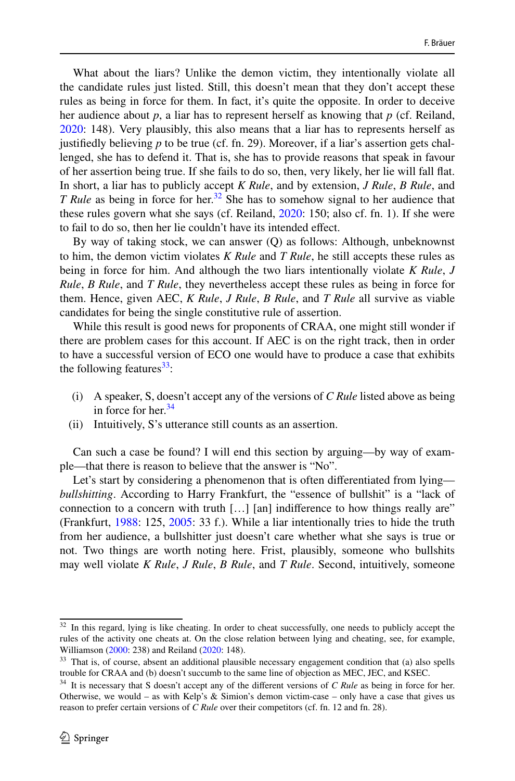What about the liars? Unlike the demon victim, they intentionally violate all the candidate rules just listed. Still, this doesn't mean that they don't accept these rules as being in force for them. In fact, it's quite the opposite. In order to deceive her audience about *p*, a liar has to represent herself as knowing that *p* (cf. Reiland, [2020](#page-17-2): 148). Very plausibly, this also means that a liar has to represents herself as justifedly believing *p* to be true (cf. fn. 29). Moreover, if a liar's assertion gets challenged, she has to defend it. That is, she has to provide reasons that speak in favour of her assertion being true. If she fails to do so, then, very likely, her lie will fall fat. In short, a liar has to publicly accept *K Rule*, and by extension, *J Rule*, *B Rule*, and *T Rule* as being in force for her.<sup>32</sup> She has to somehow signal to her audience that these rules govern what she says (cf. Reiland, [2020:](#page-17-2) 150; also cf. fn. 1). If she were to fail to do so, then her lie couldn't have its intended efect.

By way of taking stock, we can answer (Q) as follows: Although, unbeknownst to him, the demon victim violates *K Rule* and *T Rule*, he still accepts these rules as being in force for him. And although the two liars intentionally violate *K Rule*, *J Rule*, *B Rule*, and *T Rule*, they nevertheless accept these rules as being in force for them. Hence, given AEC, *K Rule*, *J Rule*, *B Rule*, and *T Rule* all survive as viable candidates for being the single constitutive rule of assertion.

While this result is good news for proponents of CRAA, one might still wonder if there are problem cases for this account. If AEC is on the right track, then in order to have a successful version of ECO one would have to produce a case that exhibits the following features $33$ :

- (i) A speaker, S, doesn't accept any of the versions of *C Rule* listed above as being in force for her. $34$
- (ii) Intuitively, S's utterance still counts as an assertion.

Can such a case be found? I will end this section by arguing—by way of example—that there is reason to believe that the answer is "No".

Let's start by considering a phenomenon that is often differentiated from lying *bullshitting*. According to Harry Frankfurt, the "essence of bullshit" is a "lack of connection to a concern with truth […] [an] indiference to how things really are" (Frankfurt, [1988:](#page-16-30) 125, [2005](#page-16-31): 33 f.). While a liar intentionally tries to hide the truth from her audience, a bullshitter just doesn't care whether what she says is true or not. Two things are worth noting here. Frist, plausibly, someone who bullshits may well violate *K Rule*, *J Rule*, *B Rule*, and *T Rule*. Second, intuitively, someone

<span id="page-13-0"></span><sup>&</sup>lt;sup>32</sup> In this regard, lying is like cheating. In order to cheat successfully, one needs to publicly accept the rules of the activity one cheats at. On the close relation between lying and cheating, see, for example, Williamson ([2000:](#page-17-1) 238) and Reiland ([2020:](#page-17-2) 148).

<span id="page-13-1"></span><sup>&</sup>lt;sup>33</sup> That is, of course, absent an additional plausible necessary engagement condition that (a) also spells trouble for CRAA and (b) doesn't succumb to the same line of objection as MEC, JEC, and KSEC.

<span id="page-13-2"></span><sup>&</sup>lt;sup>34</sup> It is necessary that S doesn't accept any of the different versions of *C Rule* as being in force for her. Otherwise, we would – as with Kelp's  $&$  Simion's demon victim-case – only have a case that gives us reason to prefer certain versions of *C Rule* over their competitors (cf. fn. 12 and fn. 28).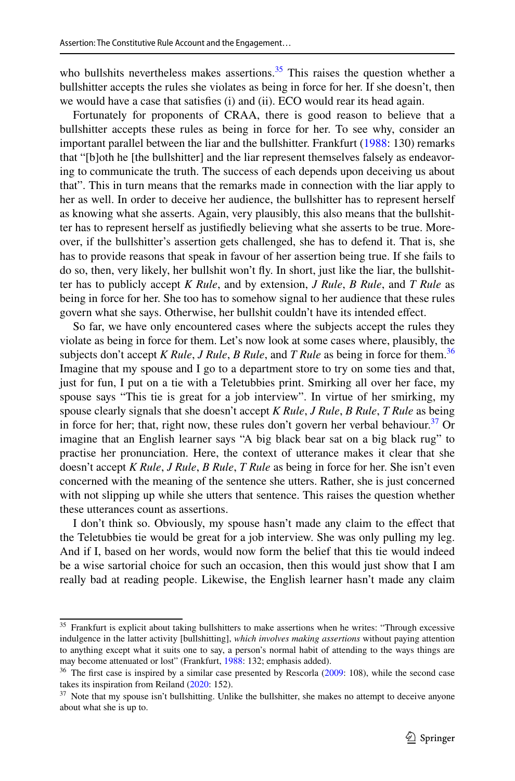who bullshits nevertheless makes assertions.<sup>35</sup> This raises the question whether a bullshitter accepts the rules she violates as being in force for her. If she doesn't, then we would have a case that satisfes (i) and (ii). ECO would rear its head again.

Fortunately for proponents of CRAA, there is good reason to believe that a bullshitter accepts these rules as being in force for her. To see why, consider an important parallel between the liar and the bullshitter. Frankfurt [\(1988](#page-16-30): 130) remarks that "[b]oth he [the bullshitter] and the liar represent themselves falsely as endeavoring to communicate the truth. The success of each depends upon deceiving us about that". This in turn means that the remarks made in connection with the liar apply to her as well. In order to deceive her audience, the bullshitter has to represent herself as knowing what she asserts. Again, very plausibly, this also means that the bullshitter has to represent herself as justifedly believing what she asserts to be true. Moreover, if the bullshitter's assertion gets challenged, she has to defend it. That is, she has to provide reasons that speak in favour of her assertion being true. If she fails to do so, then, very likely, her bullshit won't fy. In short, just like the liar, the bullshitter has to publicly accept *K Rule*, and by extension, *J Rule*, *B Rule*, and *T Rule* as being in force for her. She too has to somehow signal to her audience that these rules govern what she says. Otherwise, her bullshit couldn't have its intended efect.

So far, we have only encountered cases where the subjects accept the rules they violate as being in force for them. Let's now look at some cases where, plausibly, the subjects don't accept *K Rule*, *J Rule*, *B Rule*, and *T Rule* as being in force for them.[36](#page-14-1) Imagine that my spouse and I go to a department store to try on some ties and that, just for fun, I put on a tie with a Teletubbies print. Smirking all over her face, my spouse says "This tie is great for a job interview". In virtue of her smirking, my spouse clearly signals that she doesn't accept *K Rule*, *J Rule*, *B Rule*, *T Rule* as being in force for her; that, right now, these rules don't govern her verbal behaviour. $37$  Or imagine that an English learner says "A big black bear sat on a big black rug" to practise her pronunciation. Here, the context of utterance makes it clear that she doesn't accept *K Rule*, *J Rule*, *B Rule*, *T Rule* as being in force for her. She isn't even concerned with the meaning of the sentence she utters. Rather, she is just concerned with not slipping up while she utters that sentence. This raises the question whether these utterances count as assertions.

I don't think so. Obviously, my spouse hasn't made any claim to the efect that the Teletubbies tie would be great for a job interview. She was only pulling my leg. And if I, based on her words, would now form the belief that this tie would indeed be a wise sartorial choice for such an occasion, then this would just show that I am really bad at reading people. Likewise, the English learner hasn't made any claim

<span id="page-14-0"></span><sup>&</sup>lt;sup>35</sup> Frankfurt is explicit about taking bullshitters to make assertions when he writes: "Through excessive indulgence in the latter activity [bullshitting], *which involves making assertions* without paying attention to anything except what it suits one to say, a person's normal habit of attending to the ways things are may become attenuated or lost" (Frankfurt, [1988](#page-16-30): 132; emphasis added).

<span id="page-14-1"></span><sup>&</sup>lt;sup>36</sup> The first case is inspired by a similar case presented by Rescorla [\(2009](#page-17-9): 108), while the second case takes its inspiration from Reiland [\(2020](#page-17-2): 152).

<span id="page-14-2"></span> $37$  Note that my spouse isn't bullshitting. Unlike the bullshitter, she makes no attempt to deceive anyone about what she is up to.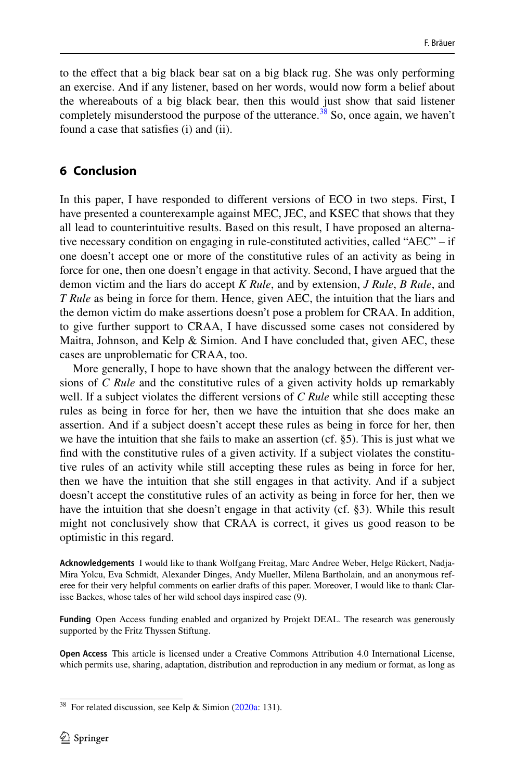to the efect that a big black bear sat on a big black rug. She was only performing an exercise. And if any listener, based on her words, would now form a belief about the whereabouts of a big black bear, then this would just show that said listener completely misunderstood the purpose of the utterance.<sup>38</sup> So, once again, we haven't found a case that satisfes (i) and (ii).

## **6 Conclusion**

In this paper, I have responded to diferent versions of ECO in two steps. First, I have presented a counterexample against MEC, JEC, and KSEC that shows that they all lead to counterintuitive results. Based on this result, I have proposed an alternative necessary condition on engaging in rule-constituted activities, called "AEC" – if one doesn't accept one or more of the constitutive rules of an activity as being in force for one, then one doesn't engage in that activity. Second, I have argued that the demon victim and the liars do accept *K Rule*, and by extension, *J Rule*, *B Rule*, and *T Rule* as being in force for them. Hence, given AEC, the intuition that the liars and the demon victim do make assertions doesn't pose a problem for CRAA. In addition, to give further support to CRAA, I have discussed some cases not considered by Maitra, Johnson, and Kelp & Simion. And I have concluded that, given AEC, these cases are unproblematic for CRAA, too.

More generally, I hope to have shown that the analogy between the diferent versions of *C Rule* and the constitutive rules of a given activity holds up remarkably well. If a subject violates the different versions of *C Rule* while still accepting these rules as being in force for her, then we have the intuition that she does make an assertion. And if a subject doesn't accept these rules as being in force for her, then we have the intuition that she fails to make an assertion (cf. §5). This is just what we fnd with the constitutive rules of a given activity. If a subject violates the constitutive rules of an activity while still accepting these rules as being in force for her, then we have the intuition that she still engages in that activity. And if a subject doesn't accept the constitutive rules of an activity as being in force for her, then we have the intuition that she doesn't engage in that activity (cf. §3). While this result might not conclusively show that CRAA is correct, it gives us good reason to be optimistic in this regard.

**Acknowledgements** I would like to thank Wolfgang Freitag, Marc Andree Weber, Helge Rückert, Nadja-Mira Yolcu, Eva Schmidt, Alexander Dinges, Andy Mueller, Milena Bartholain, and an anonymous referee for their very helpful comments on earlier drafts of this paper. Moreover, I would like to thank Clarisse Backes, whose tales of her wild school days inspired case (9).

**Funding** Open Access funding enabled and organized by Projekt DEAL. The research was generously supported by the Fritz Thyssen Stiftung.

**Open Access** This article is licensed under a Creative Commons Attribution 4.0 International License, which permits use, sharing, adaptation, distribution and reproduction in any medium or format, as long as

<span id="page-15-0"></span><sup>&</sup>lt;sup>38</sup> For related discussion, see Kelp & Simion [\(2020a:](#page-16-4) 131).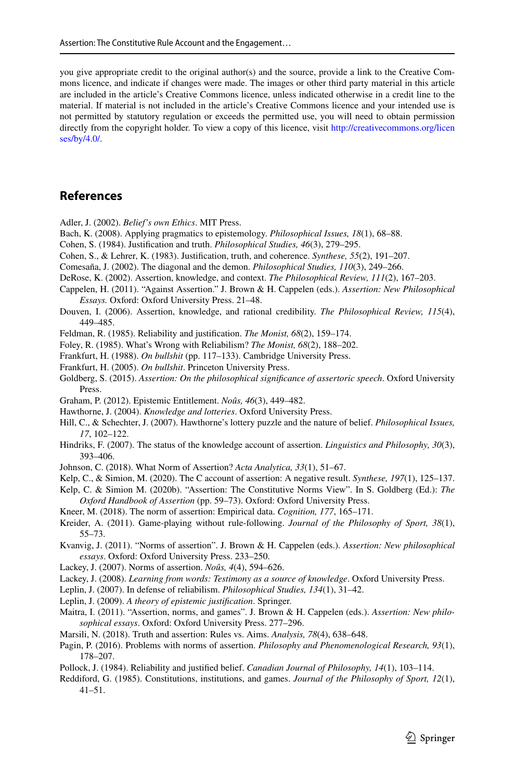you give appropriate credit to the original author(s) and the source, provide a link to the Creative Commons licence, and indicate if changes were made. The images or other third party material in this article are included in the article's Creative Commons licence, unless indicated otherwise in a credit line to the material. If material is not included in the article's Creative Commons licence and your intended use is not permitted by statutory regulation or exceeds the permitted use, you will need to obtain permission directly from the copyright holder. To view a copy of this licence, visit [http://creativecommons.org/licen](http://creativecommons.org/licenses/by/4.0/) [ses/by/4.0/](http://creativecommons.org/licenses/by/4.0/).

### **References**

<span id="page-16-29"></span>Adler, J. (2002). *Belief's own Ethics*. MIT Press.

- <span id="page-16-10"></span>Bach, K. (2008). Applying pragmatics to epistemology. *Philosophical Issues, 18*(1), 68–88.
- <span id="page-16-18"></span>Cohen, S. (1984). Justifcation and truth. *Philosophical Studies, 46*(3), 279–295.
- <span id="page-16-17"></span>Cohen, S., & Lehrer, K. (1983). Justifcation, truth, and coherence. *Synthese, 55*(2), 191–207.
- <span id="page-16-22"></span>Comesaña, J. (2002). The diagonal and the demon. *Philosophical Studies, 110*(3), 249–266.
- <span id="page-16-2"></span>DeRose, K. (2002). Assertion, knowledge, and context. *The Philosophical Review, 111*(2), 167–203.
- <span id="page-16-14"></span>Cappelen, H. (2011). "Against Assertion." J. Brown & H. Cappelen (eds.). *Assertion: New Philosophical Essays.* Oxford: Oxford University Press. 21–48.
- <span id="page-16-5"></span>Douven, I. (2006). Assertion, knowledge, and rational credibility. *The Philosophical Review, 115*(4), 449–485.
- <span id="page-16-20"></span>Feldman, R. (1985). Reliability and justifcation. *The Monist, 68*(2), 159–174.
- <span id="page-16-21"></span>Foley, R. (1985). What's Wrong with Reliabilism? *The Monist, 68*(2), 188–202.
- <span id="page-16-30"></span>Frankfurt, H. (1988). *On bullshit* (pp. 117–133). Cambridge University Press.
- <span id="page-16-31"></span>Frankfurt, H. (2005). *On bullshit*. Princeton University Press.
- <span id="page-16-16"></span>Goldberg, S. (2015). *Assertion: On the philosophical signifcance of assertoric speech*. Oxford University Press.
- <span id="page-16-23"></span>Graham, P. (2012). Epistemic Entitlement. *Noûs, 46*(3), 449–482.
- <span id="page-16-3"></span>Hawthorne, J. (2004). *Knowledge and lotteries*. Oxford University Press.
- <span id="page-16-6"></span>Hill, C., & Schechter, J. (2007). Hawthorne's lottery puzzle and the nature of belief. *Philosophical Issues, 17*, 102–122.
- <span id="page-16-11"></span>Hindriks, F. (2007). The status of the knowledge account of assertion. *Linguistics and Philosophy, 30*(3), 393–406.
- <span id="page-16-1"></span>Johnson, C. (2018). What Norm of Assertion? *Acta Analytica, 33*(1), 51–67.
- <span id="page-16-4"></span>Kelp, C., & Simion, M. (2020). The C account of assertion: A negative result. *Synthese, 197*(1), 125–137.
- <span id="page-16-13"></span>Kelp, C. & Simion M. (2020b). "Assertion: The Constitutive Norms View". In S. Goldberg (Ed.): *The Oxford Handbook of Assertion* (pp. 59–73). Oxford: Oxford University Press.
- <span id="page-16-28"></span>Kneer, M. (2018). The norm of assertion: Empirical data. *Cognition, 177*, 165–171.
- <span id="page-16-26"></span>Kreider, A. (2011). Game-playing without rule-following. *Journal of the Philosophy of Sport, 38*(1), 55–73.
- <span id="page-16-7"></span>Kvanvig, J. (2011). "Norms of assertion". J. Brown & H. Cappelen (eds.). *Assertion: New philosophical essays*. Oxford: Oxford University Press. 233–250.
- <span id="page-16-8"></span>Lackey, J. (2007). Norms of assertion. *Noûs, 4*(4), 594–626.
- <span id="page-16-9"></span>Lackey, J. (2008). *Learning from words: Testimony as a source of knowledge*. Oxford University Press.
- <span id="page-16-24"></span>Leplin, J. (2007). In defense of reliabilism. *Philosophical Studies, 134*(1), 31–42.
- <span id="page-16-25"></span>Leplin, J. (2009). *A theory of epistemic justifcation*. Springer.
- <span id="page-16-12"></span>Maitra, I. (2011). "Assertion, norms, and games". J. Brown & H. Cappelen (eds.). *Assertion: New philosophical essays*. Oxford: Oxford University Press. 277–296.
- <span id="page-16-27"></span>Marsili, N. (2018). Truth and assertion: Rules vs. Aims. *Analysis, 78*(4), 638–648.
- <span id="page-16-15"></span>Pagin, P. (2016). Problems with norms of assertion. *Philosophy and Phenomenological Research, 93*(1), 178–207.
- <span id="page-16-19"></span>Pollock, J. (1984). Reliability and justifed belief. *Canadian Journal of Philosophy, 14*(1), 103–114.
- <span id="page-16-0"></span>Reddiford, G. (1985). Constitutions, institutions, and games. *Journal of the Philosophy of Sport, 12*(1), 41–51.